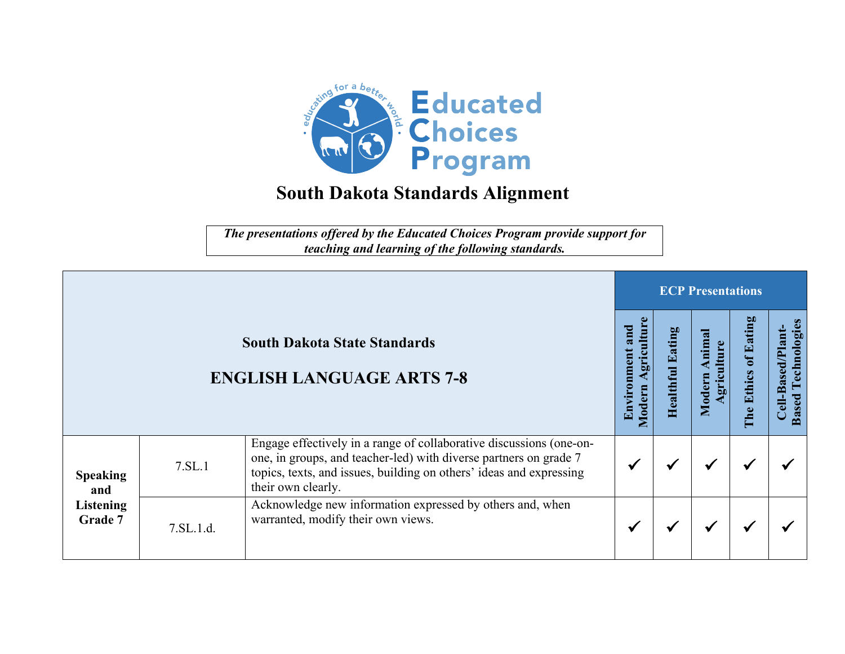

*The presentations offered by the Educated Choices Program provide support for teaching and learning of the following standards.*

|                                                       |           |                                                                                                                                                                                                                                       | <b>ECP Presentations</b>                   |                          |                     |                              |                                                  |  |  |
|-------------------------------------------------------|-----------|---------------------------------------------------------------------------------------------------------------------------------------------------------------------------------------------------------------------------------------|--------------------------------------------|--------------------------|---------------------|------------------------------|--------------------------------------------------|--|--|
|                                                       |           | <b>South Dakota State Standards</b><br><b>ENGLISH LANGUAGE ARTS 7-8</b>                                                                                                                                                               | griculture<br>and<br>Environment<br>Modern | atin<br>Ł<br>ealthi<br>Ē | nima<br>Moder<br>60 | Eating<br>ă<br>Ethics<br>The | Technologies<br>Cell-Based/Plant<br><b>Based</b> |  |  |
| <b>Speaking</b><br>and<br><b>Listening</b><br>Grade 7 | 7.SL.1    | Engage effectively in a range of collaborative discussions (one-on-<br>one, in groups, and teacher-led) with diverse partners on grade 7<br>topics, texts, and issues, building on others' ideas and expressing<br>their own clearly. |                                            |                          | ✔                   |                              |                                                  |  |  |
|                                                       | 7.SL.1.d. | Acknowledge new information expressed by others and, when<br>warranted, modify their own views.                                                                                                                                       |                                            |                          | ₩                   |                              |                                                  |  |  |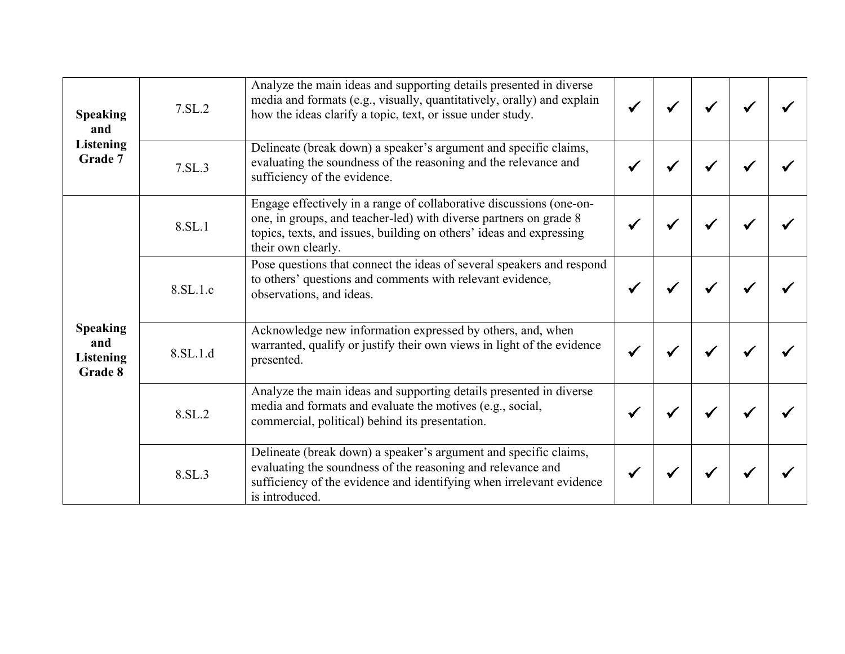| <b>Speaking</b><br>and<br><b>Listening</b><br>Grade 7 | 7.SL.2   | Analyze the main ideas and supporting details presented in diverse<br>media and formats (e.g., visually, quantitatively, orally) and explain<br>how the ideas clarify a topic, text, or issue under study.                            |  |  |  |
|-------------------------------------------------------|----------|---------------------------------------------------------------------------------------------------------------------------------------------------------------------------------------------------------------------------------------|--|--|--|
|                                                       | 7.SL.3   | Delineate (break down) a speaker's argument and specific claims,<br>evaluating the soundness of the reasoning and the relevance and<br>sufficiency of the evidence.                                                                   |  |  |  |
| <b>Speaking</b><br>and<br><b>Listening</b><br>Grade 8 | 8.SL.1   | Engage effectively in a range of collaborative discussions (one-on-<br>one, in groups, and teacher-led) with diverse partners on grade 8<br>topics, texts, and issues, building on others' ideas and expressing<br>their own clearly. |  |  |  |
|                                                       | 8.SL.1.c | Pose questions that connect the ideas of several speakers and respond<br>to others' questions and comments with relevant evidence,<br>observations, and ideas.                                                                        |  |  |  |
|                                                       | 8.SL.1.d | Acknowledge new information expressed by others, and, when<br>warranted, qualify or justify their own views in light of the evidence<br>presented.                                                                                    |  |  |  |
|                                                       | 8.SL.2   | Analyze the main ideas and supporting details presented in diverse<br>media and formats and evaluate the motives (e.g., social,<br>commercial, political) behind its presentation.                                                    |  |  |  |
|                                                       | 8.SL.3   | Delineate (break down) a speaker's argument and specific claims,<br>evaluating the soundness of the reasoning and relevance and<br>sufficiency of the evidence and identifying when irrelevant evidence<br>is introduced.             |  |  |  |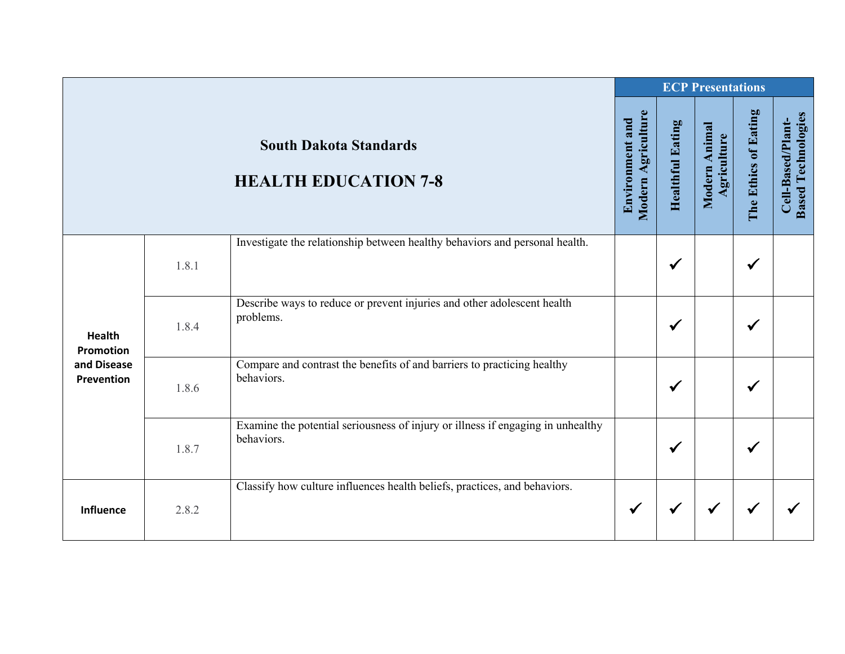|                                                                |       |                                                                                               |                                       |                         | <b>ECP Presentations</b>     |                      |                                                |
|----------------------------------------------------------------|-------|-----------------------------------------------------------------------------------------------|---------------------------------------|-------------------------|------------------------------|----------------------|------------------------------------------------|
|                                                                |       | <b>South Dakota Standards</b><br><b>HEALTH EDUCATION 7-8</b>                                  | Modern Agriculture<br>Environment and | <b>Healthful Eating</b> | Modern Animal<br>Agriculture | The Ethics of Eating | <b>Based Technologies</b><br>Cell-Based/Plant- |
| <b>Health</b><br><b>Promotion</b><br>and Disease<br>Prevention | 1.8.1 | Investigate the relationship between healthy behaviors and personal health.                   |                                       | $\checkmark$            |                              | $\checkmark$         |                                                |
|                                                                | 1.8.4 | Describe ways to reduce or prevent injuries and other adolescent health<br>problems.          |                                       | ✔                       |                              | $\checkmark$         |                                                |
|                                                                | 1.8.6 | Compare and contrast the benefits of and barriers to practicing healthy<br>behaviors.         |                                       | ✔                       |                              | $\checkmark$         |                                                |
|                                                                | 1.8.7 | Examine the potential seriousness of injury or illness if engaging in unhealthy<br>behaviors. |                                       | $\checkmark$            |                              | $\checkmark$         |                                                |
| Influence                                                      | 2.8.2 | Classify how culture influences health beliefs, practices, and behaviors.                     | $\checkmark$                          | ✔                       | $\checkmark$                 | $\checkmark$         |                                                |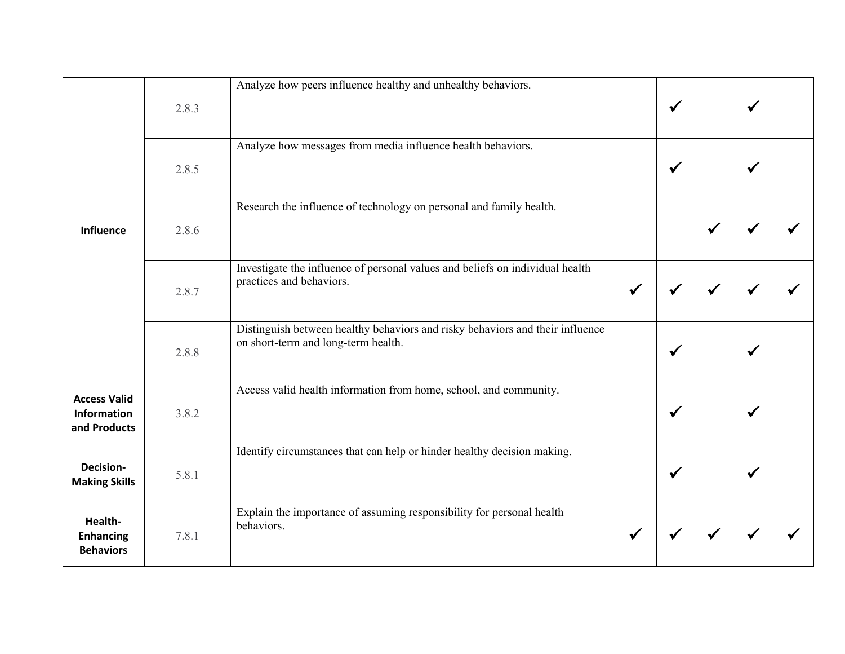|                                                           |       | Analyze how peers influence healthy and unhealthy behaviors.                                                         |              |              |              |              |  |
|-----------------------------------------------------------|-------|----------------------------------------------------------------------------------------------------------------------|--------------|--------------|--------------|--------------|--|
| <b>Influence</b>                                          | 2.8.3 |                                                                                                                      |              | $\checkmark$ |              | $\checkmark$ |  |
|                                                           | 2.8.5 | Analyze how messages from media influence health behaviors.                                                          |              | $\checkmark$ |              | ✔            |  |
|                                                           | 2.8.6 | Research the influence of technology on personal and family health.                                                  |              |              | $\checkmark$ |              |  |
|                                                           | 2.8.7 | Investigate the influence of personal values and beliefs on individual health<br>practices and behaviors.            | $\checkmark$ | $\checkmark$ | $\checkmark$ | ✔            |  |
|                                                           | 2.8.8 | Distinguish between healthy behaviors and risky behaviors and their influence<br>on short-term and long-term health. |              | $\checkmark$ |              | ✔            |  |
| <b>Access Valid</b><br><b>Information</b><br>and Products | 3.8.2 | Access valid health information from home, school, and community.                                                    |              | $\checkmark$ |              | √            |  |
| Decision-<br><b>Making Skills</b>                         | 5.8.1 | Identify circumstances that can help or hinder healthy decision making.                                              |              | $\checkmark$ |              | ✔            |  |
| Health-<br><b>Enhancing</b><br><b>Behaviors</b>           | 7.8.1 | Explain the importance of assuming responsibility for personal health<br>behaviors.                                  | $\checkmark$ |              | ✔            |              |  |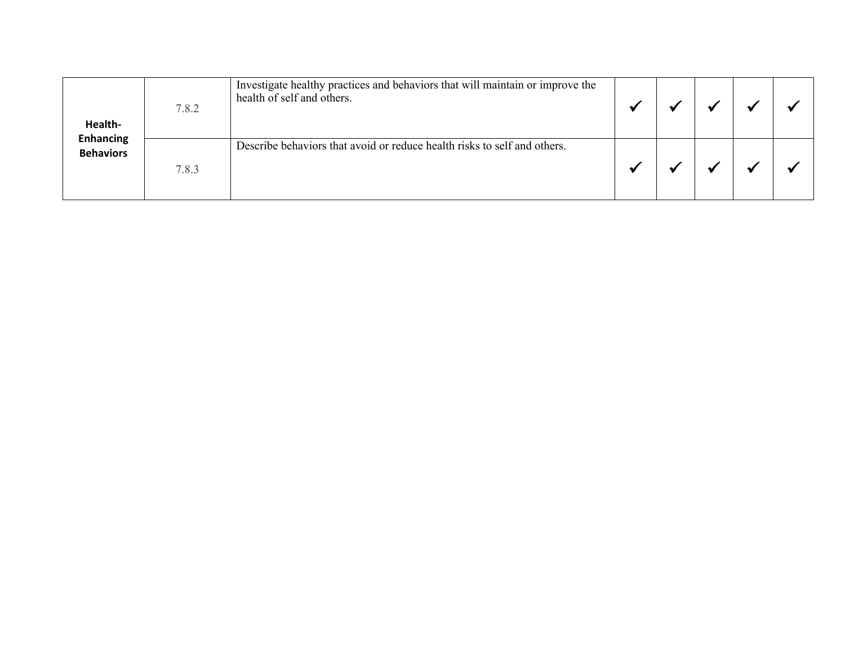| Health-<br><b>Enhancing</b><br><b>Behaviors</b> | 7.8.2 | Investigate healthy practices and behaviors that will maintain or improve the<br>health of self and others. |  |  |  |
|-------------------------------------------------|-------|-------------------------------------------------------------------------------------------------------------|--|--|--|
|                                                 | 7.8.3 | Describe behaviors that avoid or reduce health risks to self and others.                                    |  |  |  |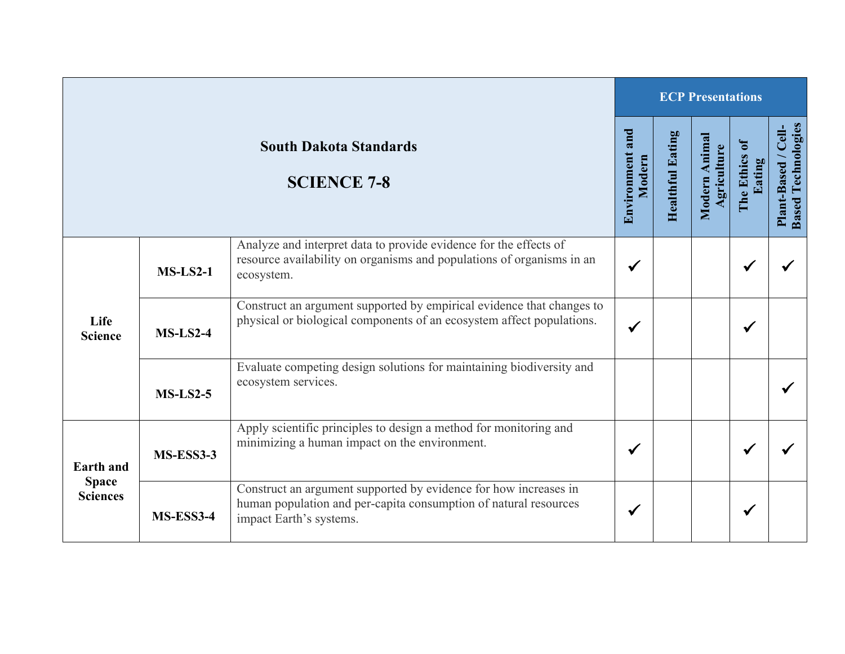| <b>South Dakota Standards</b><br><b>SCIENCE 7-8</b> |            |                                                                                                                                                                 | <b>ECP Presentations</b>  |                         |                              |                           |                                                  |  |  |
|-----------------------------------------------------|------------|-----------------------------------------------------------------------------------------------------------------------------------------------------------------|---------------------------|-------------------------|------------------------------|---------------------------|--------------------------------------------------|--|--|
|                                                     |            |                                                                                                                                                                 | Environment and<br>Modern | <b>Healthful Eating</b> | Modern Animal<br>Agriculture | ē<br>The Ethics<br>Eating | <b>Based Technologies</b><br>Plant-Based / Cell- |  |  |
| Life<br><b>Science</b>                              | $MS-LS2-1$ | Analyze and interpret data to provide evidence for the effects of<br>resource availability on organisms and populations of organisms in an<br>ecosystem.        | $\checkmark$              |                         |                              | $\checkmark$              |                                                  |  |  |
|                                                     | $MS-LS2-4$ | Construct an argument supported by empirical evidence that changes to<br>physical or biological components of an ecosystem affect populations.                  | $\checkmark$              |                         |                              | $\checkmark$              |                                                  |  |  |
|                                                     | $MS-LS2-5$ | Evaluate competing design solutions for maintaining biodiversity and<br>ecosystem services.                                                                     |                           |                         |                              |                           |                                                  |  |  |
| <b>Earth</b> and<br><b>Space</b><br><b>Sciences</b> | MS-ESS3-3  | Apply scientific principles to design a method for monitoring and<br>minimizing a human impact on the environment.                                              | $\checkmark$              |                         |                              | $\checkmark$              |                                                  |  |  |
|                                                     | MS-ESS3-4  | Construct an argument supported by evidence for how increases in<br>human population and per-capita consumption of natural resources<br>impact Earth's systems. | $\checkmark$              |                         |                              | $\checkmark$              |                                                  |  |  |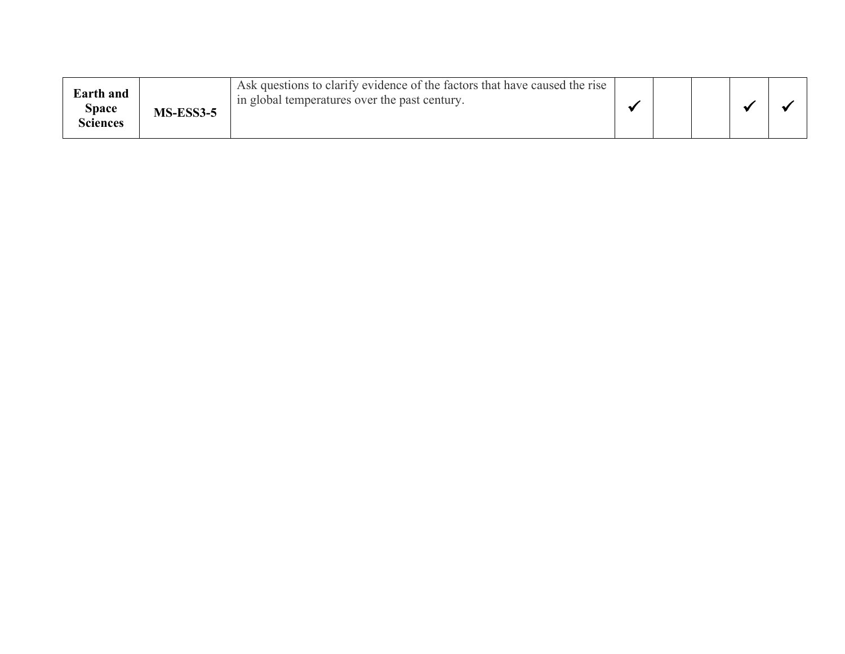| <b>Earth</b> and<br>Space<br>Sciences | <b>MS-ESS3-5</b> | Ask questions to clarify evidence of the factors that have caused the rise<br>in global temperatures over the past century. |  |  |  |  |  |
|---------------------------------------|------------------|-----------------------------------------------------------------------------------------------------------------------------|--|--|--|--|--|
|---------------------------------------|------------------|-----------------------------------------------------------------------------------------------------------------------------|--|--|--|--|--|